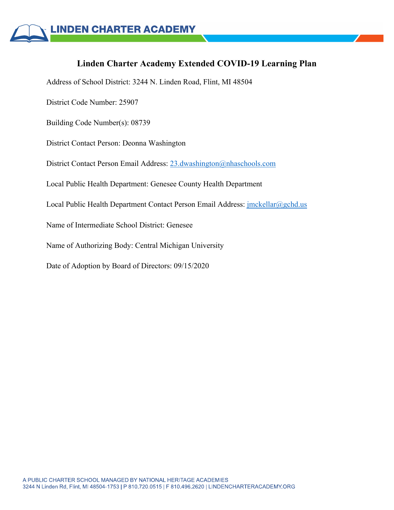# **Linden Charter Academy Extended COVID-19 Learning Plan**

Address of School District: 3244 N. Linden Road, Flint, MI 48504

District Code Number: 25907

Building Code Number(s): 08739

District Contact Person: Deonna Washington

District Contact Person Email Address: 23.dwashington@nhaschools.com

Local Public Health Department: Genesee County Health Department

Local Public Health Department Contact Person Email Address: jmckellar@gchd.us

Name of Intermediate School District: Genesee

Name of Authorizing Body: Central Michigan University

Date of Adoption by Board of Directors: 09/15/2020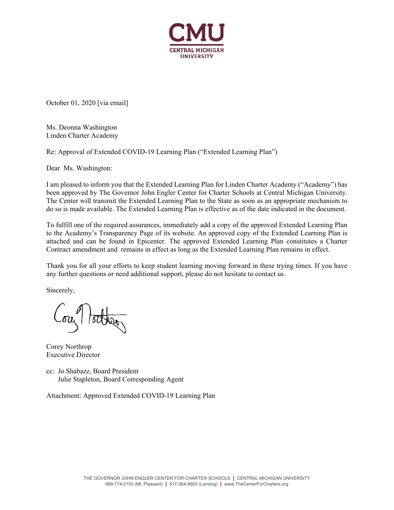

October 01, 2020 [via email]

Ms. Deonna Washington Linden Charter Academy

Re: Approval of Extended COVID-19 Learning Plan ("Extended Learning Plan")

Dear Ms. Washington:

I am pleased to inform you that the Extended Learning Plan for Linden Charter Academy ("Academy") has been approved by The Governor John Engler Center for Charter Schools at Central Michigan University. The Center will transmit the Extended Learning Plan to the State as soon as an appropriate mechanism to do so is made available. The Extended Learning Plan is effective as of the date indicated in the document.

To fulfill one of the required assurances, immediately add a copy of the approved Extended Learning Plan to the Academy's Transparency Page of its website. An approved copy of the Extended Learning Plan is attached and can be found in Epicenter. The approved Extended Learning Plan constitutes a Charter Contract amendment and remains in effect as long as the Extended Learning Plan remains in effect.

Thank you for all your efforts to keep student learning moving forward in these trying times. If you have any further questions or need additional support, please do not hesitate to contact us.

Sincerely,

ou lotter

Corey Northrop Executive Director

cc: Jo Shabazz, Board President Julie Stapleton, Board Corresponding Agent

Attachment: Approved Extended COVID-19 Learning Plan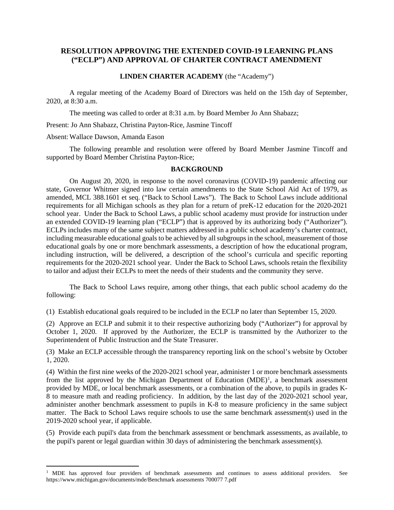### **RESOLUTION APPROVING THE EXTENDED COVID-19 LEARNING PLANS ("ECLP") AND APPROVAL OF CHARTER CONTRACT AMENDMENT**

#### **LINDEN CHARTER ACADEMY** (the "Academy")

A regular meeting of the Academy Board of Directors was held on the 15th day of September, 2020, at 8:30 a.m.

The meeting was called to order at 8:31 a.m. by Board Member Jo Ann Shabazz;

Present: Jo Ann Shabazz, Christina Payton-Rice, Jasmine Tincoff

Absent:Wallace Dawson, Amanda Eason

The following preamble and resolution were offered by Board Member Jasmine Tincoff and supported by Board Member Christina Payton-Rice;

#### **BACKGROUND**

On August 20, 2020, in response to the novel coronavirus (COVID-19) pandemic affecting our state, Governor Whitmer signed into law certain amendments to the State School Aid Act of 1979, as amended, MCL 388.1601 et seq. ("Back to School Laws"). The Back to School Laws include additional requirements for all Michigan schools as they plan for a return of preK-12 education for the 2020-2021 school year. Under the Back to School Laws, a public school academy must provide for instruction under an extended COVID-19 learning plan ("ECLP") that is approved by its authorizing body ("Authorizer"). ECLPs includes many of the same subject matters addressed in a public school academy's charter contract, including measurable educational goals to be achieved by all subgroups in the school, measurement of those educational goals by one or more benchmark assessments, a description of how the educational program, including instruction, will be delivered, a description of the school's curricula and specific reporting requirements for the 2020-2021 school year. Under the Back to School Laws, schools retain the flexibility to tailor and adjust their ECLPs to meet the needs of their students and the community they serve.

The Back to School Laws require, among other things, that each public school academy do the following:

(1) Establish educational goals required to be included in the ECLP no later than September 15, 2020.

(2) Approve an ECLP and submit it to their respective authorizing body ("Authorizer") for approval by October 1, 2020. If approved by the Authorizer, the ECLP is transmitted by the Authorizer to the Superintendent of Public Instruction and the State Treasurer.

(3) Make an ECLP accessible through the transparency reporting link on the school's website by October 1, 2020.

(4) Within the first nine weeks of the 2020-2021 school year, administer 1 or more benchmark assessments from the list approved by the Michigan Department of Education  $(MDE)^1$  $(MDE)^1$ , a benchmark assessment provided by MDE, or local benchmark assessments, or a combination of the above, to pupils in grades K-8 to measure math and reading proficiency. In addition, by the last day of the 2020-2021 school year, administer another benchmark assessment to pupils in K-8 to measure proficiency in the same subject matter. The Back to School Laws require schools to use the same benchmark assessment(s) used in the 2019-2020 school year, if applicable.

(5) Provide each pupil's data from the benchmark assessment or benchmark assessments, as available, to the pupil's parent or legal guardian within 30 days of administering the benchmark assessment(s).

<span id="page-2-0"></span><sup>&</sup>lt;sup>1</sup> MDE has approved four providers of benchmark assessments and continues to assess additional providers. See https://www.michigan.gov/documents/mde/Benchmark assessments 700077 7.pdf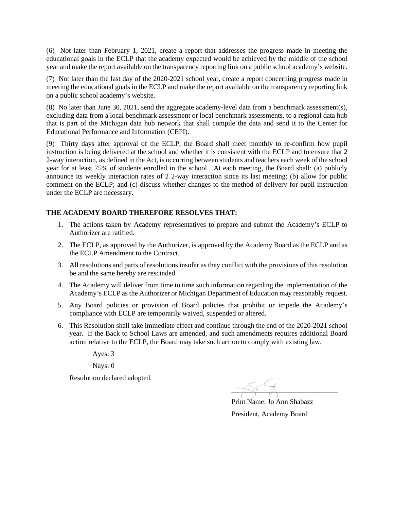(6) Not later than February 1, 2021, create a report that addresses the progress made in meeting the educational goals in the ECLP that the academy expected would be achieved by the middle of the school year and make the report available on the transparency reporting link on a public school academy's website.

(7) Not later than the last day of the 2020-2021 school year, create a report concerning progress made in meeting the educational goals in the ECLP and make the report available on the transparency reporting link on a public school academy's website.

(8) No later than June 30, 2021, send the aggregate academy-level data from a benchmark assessment(s), excluding data from a local benchmark assessment or local benchmark assessments, to a regional data hub that is part of the Michigan data hub network that shall compile the data and send it to the Center for Educational Performance and Information (CEPI).

(9) Thirty days after approval of the ECLP, the Board shall meet monthly to re-confirm how pupil instruction is being delivered at the school and whether it is consistent with the ECLP and to ensure that 2 2-way interaction, as defined in the Act, is occurring between students and teachers each week of the school year for at least 75% of students enrolled in the school. At each meeting, the Board shall: (a) publicly announce its weekly interaction rates of 2 2-way interaction since its last meeting; (b) allow for public comment on the ECLP; and (c) discuss whether changes to the method of delivery for pupil instruction under the ECLP are necessary.

## **THE ACADEMY BOARD THEREFORE RESOLVES THAT:**

- 1. The actions taken by Academy representatives to prepare and submit the Academy's ECLP to Authorizer are ratified.
- 2. The ECLP, as approved by the Authorizer, is approved by the Academy Board as the ECLP and as the ECLP Amendment to the Contract.
- 3. All resolutions and parts of resolutions insofar as they conflict with the provisions of this resolution be and the same hereby are rescinded.
- 4. The Academy will deliver from time to time such information regarding the implementation of the Academy's ECLP as the Authorizer or Michigan Department of Education may reasonably request.
- 5. Any Board policies or provision of Board policies that prohibit or impede the Academy's compliance with ECLP are temporarily waived, suspended or altered.
- 6. This Resolution shall take immediate effect and continue through the end of the 2020-2021 school year. If the Back to School Laws are amended, and such amendments requires additional Board action relative to the ECLP, the Board may take such action to comply with existing law.

Ayes: 3

Nays: 0

Resolution declared adopted.

\_\_\_\_\_\_\_\_\_\_\_\_\_\_\_\_\_\_\_\_\_\_\_\_\_\_\_\_\_\_

 Print Name: Jo Ann Shabazz President, Academy Board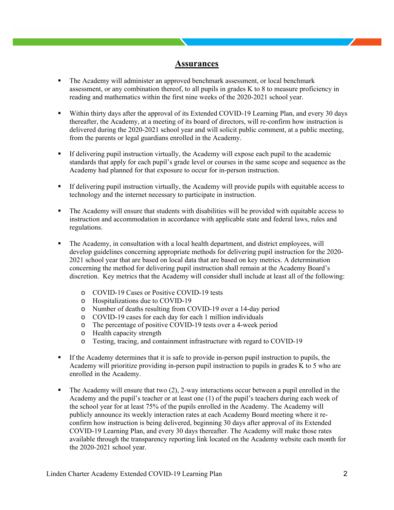### **Assurances**

- The Academy will administer an approved benchmark assessment, or local benchmark assessment, or any combination thereof, to all pupils in grades K to 8 to measure proficiency in reading and mathematics within the first nine weeks of the 2020-2021 school year.
- Within thirty days after the approval of its Extended COVID-19 Learning Plan, and every 30 days thereafter, the Academy, at a meeting of its board of directors, will re-confirm how instruction is delivered during the 2020-2021 school year and will solicit public comment, at a public meeting, from the parents or legal guardians enrolled in the Academy.
- If delivering pupil instruction virtually, the Academy will expose each pupil to the academic standards that apply for each pupil's grade level or courses in the same scope and sequence as the Academy had planned for that exposure to occur for in-person instruction.
- If delivering pupil instruction virtually, the Academy will provide pupils with equitable access to technology and the internet necessary to participate in instruction.
- The Academy will ensure that students with disabilities will be provided with equitable access to instruction and accommodation in accordance with applicable state and federal laws, rules and regulations.
- The Academy, in consultation with a local health department, and district employees, will develop guidelines concerning appropriate methods for delivering pupil instruction for the 2020- 2021 school year that are based on local data that are based on key metrics. A determination concerning the method for delivering pupil instruction shall remain at the Academy Board's discretion. Key metrics that the Academy will consider shall include at least all of the following:
	- o COVID-19 Cases or Positive COVID-19 tests
	- o Hospitalizations due to COVID-19
	- o Number of deaths resulting from COVID-19 over a 14-day period
	- o COVID-19 cases for each day for each 1 million individuals
	- o The percentage of positive COVID-19 tests over a 4-week period
	- o Health capacity strength
	- o Testing, tracing, and containment infrastructure with regard to COVID-19
- If the Academy determines that it is safe to provide in-person pupil instruction to pupils, the Academy will prioritize providing in-person pupil instruction to pupils in grades K to 5 who are enrolled in the Academy.
- The Academy will ensure that two (2), 2-way interactions occur between a pupil enrolled in the Academy and the pupil's teacher or at least one (1) of the pupil's teachers during each week of the school year for at least 75% of the pupils enrolled in the Academy. The Academy will publicly announce its weekly interaction rates at each Academy Board meeting where it reconfirm how instruction is being delivered, beginning 30 days after approval of its Extended COVID-19 Learning Plan, and every 30 days thereafter. The Academy will make those rates available through the transparency reporting link located on the Academy website each month for the 2020-2021 school year.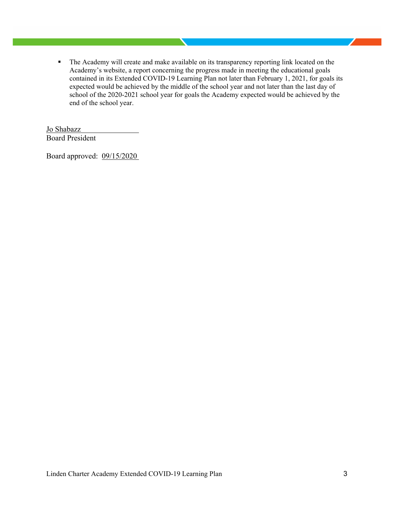The Academy will create and make available on its transparency reporting link located on the Academy's website, a report concerning the progress made in meeting the educational goals contained in its Extended COVID-19 Learning Plan not later than February 1, 2021, for goals its expected would be achieved by the middle of the school year and not later than the last day of school of the 2020-2021 school year for goals the Academy expected would be achieved by the end of the school year.

Jo Shabazz Board President

Board approved: 09/15/2020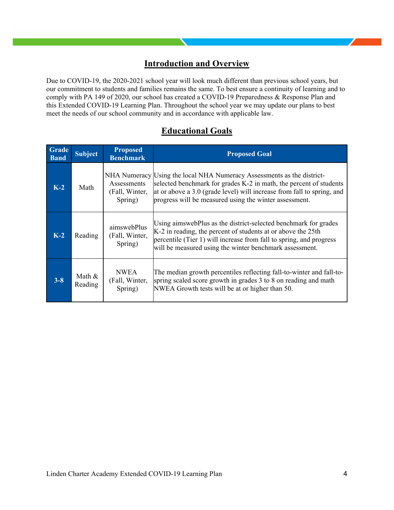## **Introduction and Overview**

Due to COVID-19, the 2020-2021 school year will look much different than previous school years, but our commitment to students and families remains the same. To best ensure a continuity of learning and to comply with PA 149 of 2020, our school has created a COVID-19 Preparedness & Response Plan and this Extended COVID-19 Learning Plan. Throughout the school year we may update our plans to best meet the needs of our school community and in accordance with applicable law.

## **Educational Goals**

| <b>Grade</b><br><b>Band</b> | <b>Subject</b>      | <b>Proposed</b><br><b>Benchmark</b>      | <b>Proposed Goal</b>                                                                                                                                                                                                                                                             |
|-----------------------------|---------------------|------------------------------------------|----------------------------------------------------------------------------------------------------------------------------------------------------------------------------------------------------------------------------------------------------------------------------------|
| $K-2$                       | Math                | Assessments<br>(Fall, Winter,<br>Spring) | NHA Numeracy Using the local NHA Numeracy Assessments as the district-<br>selected benchmark for grades K-2 in math, the percent of students<br>at or above a 3.0 (grade level) will increase from fall to spring, and<br>progress will be measured using the winter assessment. |
| $K-2$                       | Reading             | aimswebPlus<br>(Fall, Winter,<br>Spring) | Using aimswebPlus as the district-selected benchmark for grades<br>K-2 in reading, the percent of students at or above the 25th<br>percentile (Tier 1) will increase from fall to spring, and progress<br>will be measured using the winter benchmark assessment.                |
| $3 - 8$                     | Math $&$<br>Reading | <b>NWEA</b><br>(Fall, Winter,<br>Spring) | The median growth percentiles reflecting fall-to-winter and fall-to-<br>spring scaled score growth in grades 3 to 8 on reading and math<br>NWEA Growth tests will be at or higher than 50.                                                                                       |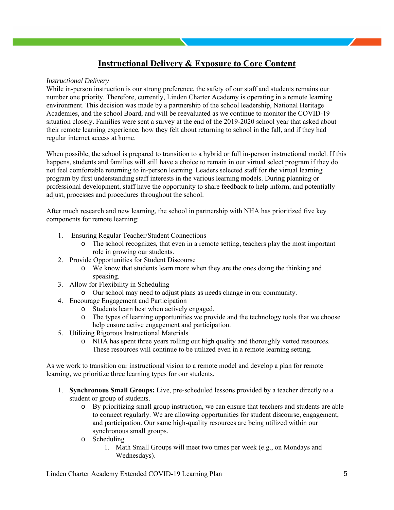# **Instructional Delivery & Exposure to Core Content**

#### *Instructional Delivery*

While in-person instruction is our strong preference, the safety of our staff and students remains our number one priority. Therefore, currently, Linden Charter Academy is operating in a remote learning environment. This decision was made by a partnership of the school leadership, National Heritage Academies, and the school Board, and will be reevaluated as we continue to monitor the COVID-19 situation closely. Families were sent a survey at the end of the 2019-2020 school year that asked about their remote learning experience, how they felt about returning to school in the fall, and if they had regular internet access at home.

When possible, the school is prepared to transition to a hybrid or full in-person instructional model. If this happens, students and families will still have a choice to remain in our virtual select program if they do not feel comfortable returning to in-person learning. Leaders selected staff for the virtual learning program by first understanding staff interests in the various learning models. During planning or professional development, staff have the opportunity to share feedback to help inform, and potentially adjust, processes and procedures throughout the school.

After much research and new learning, the school in partnership with NHA has prioritized five key components for remote learning:

- 1. Ensuring Regular Teacher/Student Connections
	- o The school recognizes, that even in a remote setting, teachers play the most important role in growing our students.
- 2. Provide Opportunities for Student Discourse
	- o We know that students learn more when they are the ones doing the thinking and speaking.
- 3. Allow for Flexibility in Scheduling
	- o Our school may need to adjust plans as needs change in our community.
- 4. Encourage Engagement and Participation
	- o Students learn best when actively engaged.
	- o The types of learning opportunities we provide and the technology tools that we choose help ensure active engagement and participation.
- 5. Utilizing Rigorous Instructional Materials
	- o NHA has spent three years rolling out high quality and thoroughly vetted resources. These resources will continue to be utilized even in a remote learning setting.

As we work to transition our instructional vision to a remote model and develop a plan for remote learning, we prioritize three learning types for our students.

- 1. **Synchronous Small Groups:** Live, pre-scheduled lessons provided by a teacher directly to a student or group of students.
	- o By prioritizing small group instruction, we can ensure that teachers and students are able to connect regularly. We are allowing opportunities for student discourse, engagement, and participation. Our same high-quality resources are being utilized within our synchronous small groups.
	- o Scheduling
		- 1. Math Small Groups will meet two times per week (e.g., on Mondays and Wednesdays).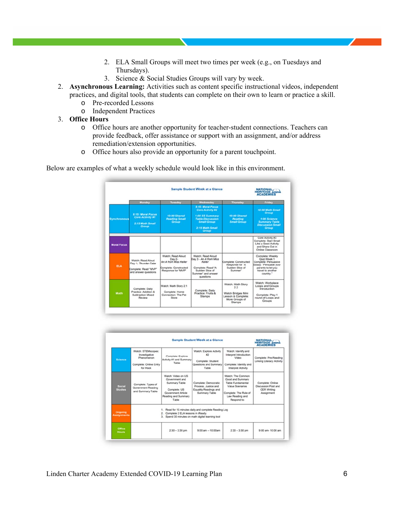- 2. ELA Small Groups will meet two times per week (e.g., on Tuesdays and Thursdays).
- 3. Science & Social Studies Groups will vary by week.
- 2. **Asynchronous Learning:** Activities such as content specific instructional videos, independent practices, and digital tools, that students can complete on their own to learn or practice a skill.
	- o Pre-recorded Lessons
	- o Independent Practices
- 3. **Office Hours**
	- o Office hours are another opportunity for teacher-student connections. Teachers can provide feedback, offer assistance or support with an assignment, and/or address remediation/extension opportunities.
	- o Office hours also provide an opportunity for a parent touchpoint.

Below are examples of what a weekly schedule would look like in this environment.

|                    |                                                                                          | NATIONAL<br>HERITAGE<br><b>ACADEMIES</b>                                                            |                                                                                                                                              |                                                                                                 |                                                                                                                                          |
|--------------------|------------------------------------------------------------------------------------------|-----------------------------------------------------------------------------------------------------|----------------------------------------------------------------------------------------------------------------------------------------------|-------------------------------------------------------------------------------------------------|------------------------------------------------------------------------------------------------------------------------------------------|
|                    | Monday                                                                                   | Tuesday                                                                                             | <b>Wednesday</b>                                                                                                                             | <b>Thursday</b>                                                                                 | Friday                                                                                                                                   |
| <b>Synchronous</b> | 8:15: Moral Focus<br><b>Core Activity #1</b><br>2:15 Math Small<br>Group                 | 10:00 Shared<br><b>Reading Small</b><br>Group                                                       | <b>2:15: Moral Focus</b><br>Core Activity #2<br>1:00 SS Summary<br><b>Table Discussion</b><br><b>Small Group</b><br>2:15 Math Small<br>Group | 10:00 Shared<br><b>Reading</b><br><b>Small Group</b>                                            | 10:00 Math Small<br>Group<br>1:00 Science<br><b>Summary Table</b><br><b>Discussion Small</b><br>Group                                    |
| <b>Moral Focus</b> |                                                                                          |                                                                                                     |                                                                                                                                              |                                                                                                 | Core Activity #3<br>Complete: Start Small<br>Like a Seed Activity<br>and Share Out in<br>Online Classroom                                |
| <b>ELA</b>         | Watch: Read Aloud<br>Day 1- Thunder Cake<br>Complete: Read "MVP"<br>and answer questions | Watch: Read Aloud<br>Day 2-<br>An A from Miss Keller<br>Complete: Constructed<br>Response for "MVP" | Watch: Read Aloud<br>Day 3 - An A from Miss<br>Keller<br>Complete: Read 'A<br>Sudden Slice of<br>Summer" and answer<br>questions             | Complete: Constructed<br>Response for "A<br>Sudden Slice of<br>Summer*                          | Complete: Weekly<br>Quiz Week 1<br>Complete: Persuasive<br>Essay: 'Persuade your<br>parents to let you<br>travel to another<br>country." |
| Math               | Complete: Daily<br>Practice: Addition &<br>Subtraction Mixed<br>Review                   | Watch: Math Story 2.1<br>Complete: Home<br>Connection: The Pet<br>Store                             | Complete: Daily<br>Practice: Fruits &<br><b>Stamps</b>                                                                                       | Watch: Math Story<br>22<br>Watch Bridges Mini<br>Lesson & Complete:<br>More Groups of<br>Stamos | Watch: Workplace<br>Loops and Groups<br>Introduction<br>Complete: Play 1<br>round of Loops and<br>Groups                                 |

|                                 |                                                                                                                                                   |                                                                                                                             | Sample Student Week at a Glance                                                                |                                                                                                                                         | NATIONAL<br><b>ACADEMIES</b>                                                |
|---------------------------------|---------------------------------------------------------------------------------------------------------------------------------------------------|-----------------------------------------------------------------------------------------------------------------------------|------------------------------------------------------------------------------------------------|-----------------------------------------------------------------------------------------------------------------------------------------|-----------------------------------------------------------------------------|
| Science                         | Watch: STEMscopes:<br>Investigative<br>Phenomenon<br>Complete: Online Entry<br>for Hook                                                           | Complete: Explore<br>Activity #1 and Summary<br>Table                                                                       | Watch: Explore Activity<br>$\mathbf{F}$<br>Complete: Student<br>Questions and Summary<br>Table | Watch: Identify and<br>Interpret Introduction<br>Video<br>Complete: Identify and<br><b>Interpret Activity</b>                           | Complete: Pre-Reading<br>Linking Literacy Activity                          |
| <b>Social</b><br><b>Studies</b> | Complete: Types of<br>Government Reading<br>and Summary Table                                                                                     | Watch: Video on US<br>Government and<br>Summary Table<br>Complete: US<br>Government Article<br>Reading and Summary<br>Table | Complete: Democratic<br>Process, Justice and<br>Equality Readings and<br>Summary Table         | Watch: The Common<br>Good and Summary<br>Table Fundamental<br>Value Scenarios<br>Complete: The Rule of<br>Law Reading and<br>Respond to | Complete: Online<br>Discussion Post and<br><b>CER Writing</b><br>Assignment |
| Ongoing<br><b>Assignments</b>   | 1. Read for 15 minutes daily and complete Reading Log<br>2. Complete 2 ELA lessons in iReady<br>3. Spend 30 minutes on math digital learning tool |                                                                                                                             |                                                                                                |                                                                                                                                         |                                                                             |
| Office<br><b>Hours</b>          |                                                                                                                                                   | $2.30 - 3.30$ pm                                                                                                            | 9:00 am - 10:00am                                                                              | $2:30 - 3:30$ pm                                                                                                                        | 9:00 am- 10:00 am                                                           |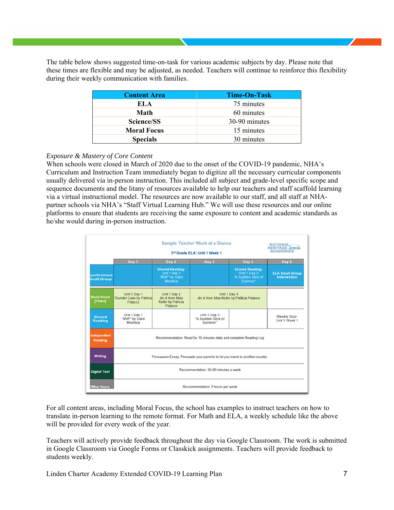The table below shows suggested time-on-task for various academic subjects by day. Please note that these times are flexible and may be adjusted, as needed. Teachers will continue to reinforce this flexibility during their weekly communication with families.

| <b>Content Area</b> | Time-On-Task  |
|---------------------|---------------|
| EL A                | 75 minutes    |
| Math                | 60 minutes    |
| Science/SS          | 30-90 minutes |
| <b>Moral Focus</b>  | 15 minutes    |
| <b>Specials</b>     | 30 minutes    |

### *Exposure & Mastery of Core Content*

When schools were closed in March of 2020 due to the onset of the COVID-19 pandemic, NHA's Curriculum and Instruction Team immediately began to digitize all the necessary curricular components usually delivered via in-person instruction. This included all subject and grade-level specific scope and sequence documents and the litany of resources available to help our teachers and staff scaffold learning via a virtual instructional model. The resources are now available to our staff, and all staff at NHApartner schools via NHA's "Staff Virtual Learning Hub." We will use these resources and our online platforms to ensure that students are receiving the same exposure to content and academic standards as he/she would during in-person instruction.

|                                 |                                                                               | NATIONAL,<br><b>HERITAGE</b><br><b>ACADEMIES</b>                            |                                                           |                                                                         |                                               |
|---------------------------------|-------------------------------------------------------------------------------|-----------------------------------------------------------------------------|-----------------------------------------------------------|-------------------------------------------------------------------------|-----------------------------------------------|
|                                 | Day 1                                                                         | Day 2                                                                       | Day 3                                                     | Day 4                                                                   | Day 6                                         |
| ynchronous<br>mall Group        |                                                                               | <b>Shared Reading:</b><br>Unit 1 Day 2<br>"MVP" by Clare<br><b>Mischica</b> |                                                           | <b>Shared Reading:</b><br>Unit 1 Day 3<br>'A Sudden Slice of<br>Summer* | <b>ELA Small Group</b><br><b>Intervention</b> |
| <b>Read Aloud</b><br>[Video]    | Unit 1 Day 1<br>Thunder Cake by Patricial<br>Polacco                          | Unit 1 Day 2<br>An A from Miss<br>Keller by Patricia<br>Polacco             | Unit 1 Day 4<br>An A from Miss Keller by Patricia Polacco |                                                                         |                                               |
| <b>Shared</b><br><b>Reading</b> | Unit 1 Day 1<br>"MVP" by Clare<br>Mischica                                    |                                                                             | Unit 1 Day 3<br>'A Sudden Slice of<br>Summer*             |                                                                         | Weekly Quiz:<br>Unit 1 Week 1                 |
| <b>Independent</b><br>Reading   | Recommendation: Read for 15 minutes daily and complete Reading Log            |                                                                             |                                                           |                                                                         |                                               |
| Writing                         | Persuasive Essay: Persuade your parents to let you travel to another country. |                                                                             |                                                           |                                                                         |                                               |
| <b>Digital Tool</b>             | Recommendation: 30-60 minutes a week                                          |                                                                             |                                                           |                                                                         |                                               |
| <b>Office Hours</b>             | Recommendation: 2 hours per week                                              |                                                                             |                                                           |                                                                         |                                               |

For all content areas, including Moral Focus, the school has examples to instruct teachers on how to translate in-person learning to the remote format. For Math and ELA, a weekly schedule like the above will be provided for every week of the year.

Teachers will actively provide feedback throughout the day via Google Classroom. The work is submitted in Google Classroom via Google Forms or Classkick assignments. Teachers will provide feedback to students weekly.

Linden Charter Academy Extended COVID-19 Learning Plan 7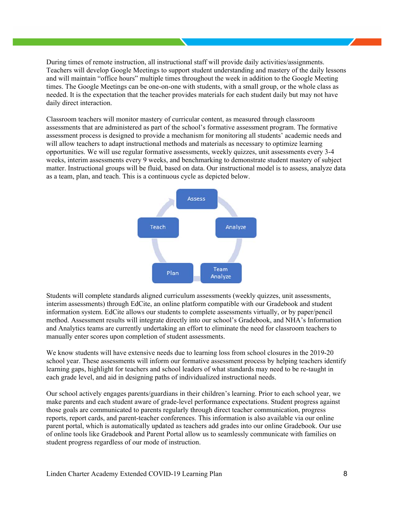During times of remote instruction, all instructional staff will provide daily activities/assignments. Teachers will develop Google Meetings to support student understanding and mastery of the daily lessons and will maintain "office hours" multiple times throughout the week in addition to the Google Meeting times. The Google Meetings can be one-on-one with students, with a small group, or the whole class as needed. It is the expectation that the teacher provides materials for each student daily but may not have daily direct interaction.

Classroom teachers will monitor mastery of curricular content, as measured through classroom assessments that are administered as part of the school's formative assessment program. The formative assessment process is designed to provide a mechanism for monitoring all students' academic needs and will allow teachers to adapt instructional methods and materials as necessary to optimize learning opportunities. We will use regular formative assessments, weekly quizzes, unit assessments every 3-4 weeks, interim assessments every 9 weeks, and benchmarking to demonstrate student mastery of subject matter. Instructional groups will be fluid, based on data. Our instructional model is to assess, analyze data as a team, plan, and teach. This is a continuous cycle as depicted below.



Students will complete standards aligned curriculum assessments (weekly quizzes, unit assessments, interim assessments) through EdCite, an online platform compatible with our Gradebook and student information system. EdCite allows our students to complete assessments virtually, or by paper/pencil method. Assessment results will integrate directly into our school's Gradebook, and NHA's Information and Analytics teams are currently undertaking an effort to eliminate the need for classroom teachers to manually enter scores upon completion of student assessments.

We know students will have extensive needs due to learning loss from school closures in the 2019-20 school year. These assessments will inform our formative assessment process by helping teachers identify learning gaps, highlight for teachers and school leaders of what standards may need to be re-taught in each grade level, and aid in designing paths of individualized instructional needs.

Our school actively engages parents/guardians in their children's learning. Prior to each school year, we make parents and each student aware of grade-level performance expectations. Student progress against those goals are communicated to parents regularly through direct teacher communication, progress reports, report cards, and parent-teacher conferences. This information is also available via our online parent portal, which is automatically updated as teachers add grades into our online Gradebook. Our use of online tools like Gradebook and Parent Portal allow us to seamlessly communicate with families on student progress regardless of our mode of instruction.